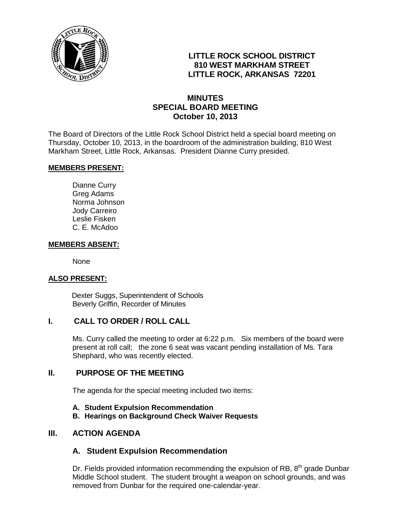

## **LITTLE ROCK SCHOOL DISTRICT 810 WEST MARKHAM STREET LITTLE ROCK, ARKANSAS 72201**

## **MINUTES SPECIAL BOARD MEETING October 10, 2013**

The Board of Directors of the Little Rock School District held a special board meeting on Thursday, October 10, 2013, in the boardroom of the administration building, 810 West Markham Street, Little Rock, Arkansas. President Dianne Curry presided.

#### **MEMBERS PRESENT:**

Dianne Curry Greg Adams Norma Johnson Jody Carreiro Leslie Fisken C. E. McAdoo

#### **MEMBERS ABSENT:**

None

#### **ALSO PRESENT:**

 Dexter Suggs, Superintendent of Schools Beverly Griffin, Recorder of Minutes

#### **I. CALL TO ORDER / ROLL CALL**

Ms. Curry called the meeting to order at 6:22 p.m. Six members of the board were present at roll call; the zone 6 seat was vacant pending installation of Ms. Tara Shephard, who was recently elected.

#### **II. PURPOSE OF THE MEETING**

The agenda for the special meeting included two items:

- **A. Student Expulsion Recommendation**
- **B. Hearings on Background Check Waiver Requests**

#### **III. ACTION AGENDA**

#### **A. Student Expulsion Recommendation**

Dr. Fields provided information recommending the expulsion of RB,  $8<sup>th</sup>$  grade Dunbar Middle School student. The student brought a weapon on school grounds, and was removed from Dunbar for the required one-calendar-year.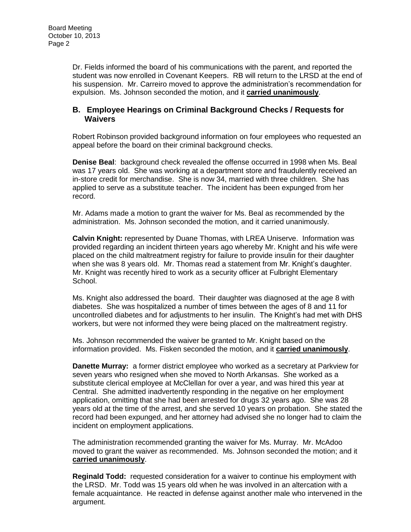Dr. Fields informed the board of his communications with the parent, and reported the student was now enrolled in Covenant Keepers. RB will return to the LRSD at the end of his suspension. Mr. Carreiro moved to approve the administration's recommendation for expulsion. Ms. Johnson seconded the motion, and it **carried unanimously**.

### **B. Employee Hearings on Criminal Background Checks / Requests for Waivers**

Robert Robinson provided background information on four employees who requested an appeal before the board on their criminal background checks.

**Denise Beal**: background check revealed the offense occurred in 1998 when Ms. Beal was 17 years old. She was working at a department store and fraudulently received an in-store credit for merchandise. She is now 34, married with three children. She has applied to serve as a substitute teacher. The incident has been expunged from her record.

Mr. Adams made a motion to grant the waiver for Ms. Beal as recommended by the administration. Ms. Johnson seconded the motion, and it carried unanimously.

**Calvin Knight:** represented by Duane Thomas, with LREA Uniserve. Information was provided regarding an incident thirteen years ago whereby Mr. Knight and his wife were placed on the child maltreatment registry for failure to provide insulin for their daughter when she was 8 years old. Mr. Thomas read a statement from Mr. Knight's daughter. Mr. Knight was recently hired to work as a security officer at Fulbright Elementary School.

Ms. Knight also addressed the board. Their daughter was diagnosed at the age 8 with diabetes. She was hospitalized a number of times between the ages of 8 and 11 for uncontrolled diabetes and for adjustments to her insulin. The Knight's had met with DHS workers, but were not informed they were being placed on the maltreatment registry.

Ms. Johnson recommended the waiver be granted to Mr. Knight based on the information provided. Ms. Fisken seconded the motion, and it **carried unanimously**.

**Danette Murray:** a former district employee who worked as a secretary at Parkview for seven years who resigned when she moved to North Arkansas. She worked as a substitute clerical employee at McClellan for over a year, and was hired this year at Central. She admitted inadvertently responding in the negative on her employment application, omitting that she had been arrested for drugs 32 years ago. She was 28 years old at the time of the arrest, and she served 10 years on probation. She stated the record had been expunged, and her attorney had advised she no longer had to claim the incident on employment applications.

The administration recommended granting the waiver for Ms. Murray. Mr. McAdoo moved to grant the waiver as recommended. Ms. Johnson seconded the motion; and it **carried unanimously**.

**Reginald Todd:** requested consideration for a waiver to continue his employment with the LRSD. Mr. Todd was 15 years old when he was involved in an altercation with a female acquaintance. He reacted in defense against another male who intervened in the argument.